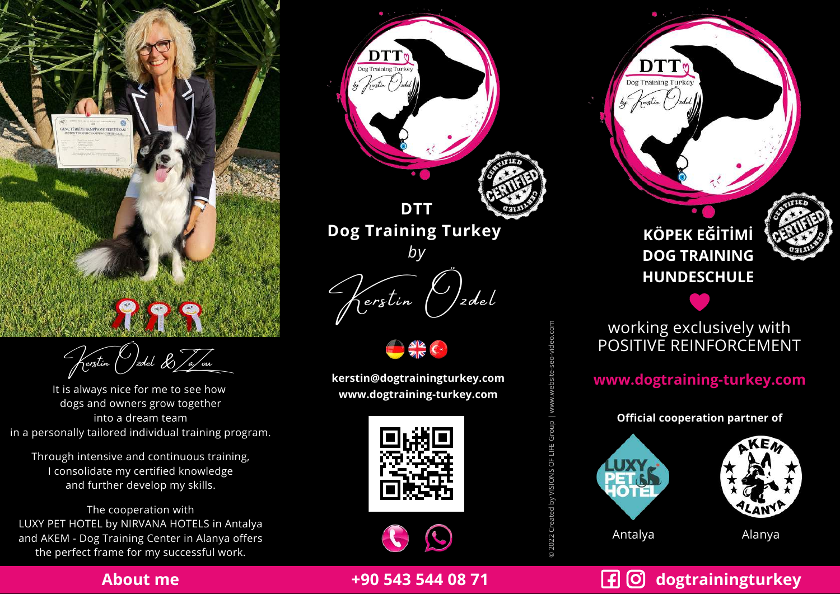

Kerstin Özdel & ZaZou

It is always nice for me to see how dogs and owners grow together into a dream team in a personally tailored individual training program. **Example 12022**<br>
The perfect frame for my successful work.<br>
The perfect frame for my successful work.<br>
The perfect frame for my successful work.<br>
The perfect frame for my successful work.<br>
The perfect frame for my success

Through intensive and continuous training, I consolidate my certified knowledge and further develop my skills.

The cooperation with LUXY PET HOTEL by NIRVANA HOTELS in Antalya and AKEM - Dog Training Center in Alanya offers





**kerstin@dogtrainingturkey.com www.dogtraining-turkey.com**





**+90 543 544 08 71**

**KÖPEK EĞİTİMİ DOG TRAINING HUNDESCHULE**

Dog Training Turkey



## working exclusively with POSITIVE REINFORCEMENT

**www.dogtraining-turkey.com**

**Official cooperation partner of**



# **dogtrainingturkey**

### **About me**